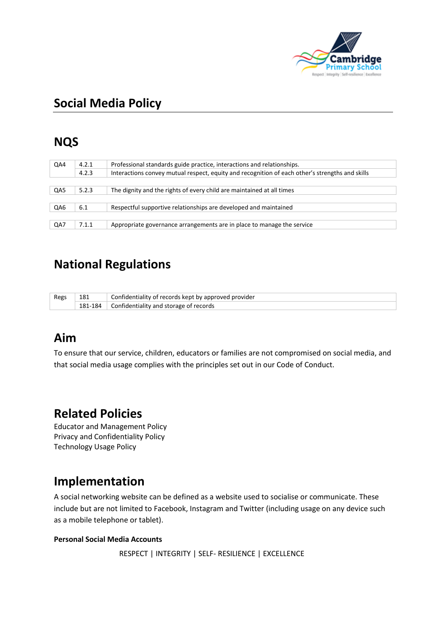

# **Social Media Policy**

# **NQS**

| QA4 | Professional standards guide practice, interactions and relationships. |                                                                                                 |
|-----|------------------------------------------------------------------------|-------------------------------------------------------------------------------------------------|
|     | 4.2.3                                                                  | Interactions convey mutual respect, equity and recognition of each other's strengths and skills |
|     |                                                                        |                                                                                                 |
| QA5 | 5.2.3                                                                  | The dignity and the rights of every child are maintained at all times                           |
|     |                                                                        |                                                                                                 |
| QA6 | 6.1                                                                    | Respectful supportive relationships are developed and maintained                                |
|     |                                                                        |                                                                                                 |
| QA7 | 7.1.1                                                                  | Appropriate governance arrangements are in place to manage the service                          |

## **National Regulations**

| Regs | 181     | Confidentiality of records kept by approved provider |
|------|---------|------------------------------------------------------|
|      | 181-184 | $\Box$ Confidentiality and storage of records        |

### **Aim**

To ensure that our service, children, educators or families are not compromised on social media, and that social media usage complies with the principles set out in our Code of Conduct.

### **Related Policies**

Educator and Management Policy Privacy and Confidentiality Policy Technology Usage Policy

### **Implementation**

A social networking website can be defined as a website used to socialise or communicate. These include but are not limited to Facebook, Instagram and Twitter (including usage on any device such as a mobile telephone or tablet).

#### **Personal Social Media Accounts**

```
 RESPECT | INTEGRITY | SELF- RESILIENCE | EXCELLENCE
```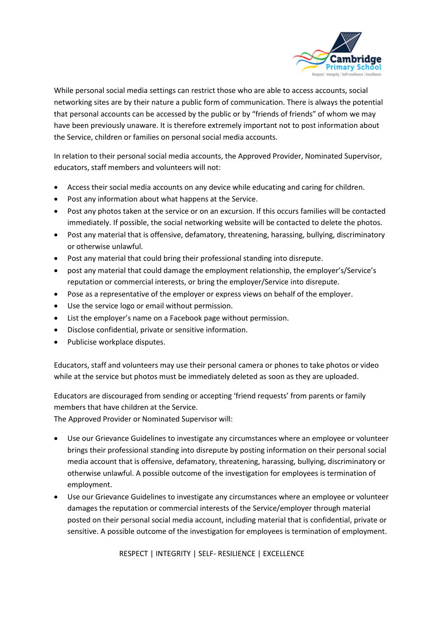

While personal social media settings can restrict those who are able to access accounts, social networking sites are by their nature a public form of communication. There is always the potential that personal accounts can be accessed by the public or by "friends of friends" of whom we may have been previously unaware. It is therefore extremely important not to post information about the Service, children or families on personal social media accounts.

In relation to their personal social media accounts, the Approved Provider, Nominated Supervisor, educators, staff members and volunteers will not:

- Access their social media accounts on any device while educating and caring for children.
- Post any information about what happens at the Service.
- Post any photos taken at the service or on an excursion. If this occurs families will be contacted immediately. If possible, the social networking website will be contacted to delete the photos.
- Post any material that is offensive, defamatory, threatening, harassing, bullying, discriminatory or otherwise unlawful.
- Post any material that could bring their professional standing into disrepute.
- post any material that could damage the employment relationship, the employer's/Service's reputation or commercial interests, or bring the employer/Service into disrepute.
- Pose as a representative of the employer or express views on behalf of the employer.
- Use the service logo or email without permission.
- List the employer's name on a Facebook page without permission.
- Disclose confidential, private or sensitive information.
- Publicise workplace disputes.

Educators, staff and volunteers may use their personal camera or phones to take photos or video while at the service but photos must be immediately deleted as soon as they are uploaded.

Educators are discouraged from sending or accepting 'friend requests' from parents or family members that have children at the Service.

The Approved Provider or Nominated Supervisor will:

- Use our Grievance Guidelines to investigate any circumstances where an employee or volunteer brings their professional standing into disrepute by posting information on their personal social media account that is offensive, defamatory, threatening, harassing, bullying, discriminatory or otherwise unlawful. A possible outcome of the investigation for employees is termination of employment.
- Use our Grievance Guidelines to investigate any circumstances where an employee or volunteer damages the reputation or commercial interests of the Service/employer through material posted on their personal social media account, including material that is confidential, private or sensitive. A possible outcome of the investigation for employees is termination of employment.

RESPECT | INTEGRITY | SELF- RESILIENCE | EXCELLENCE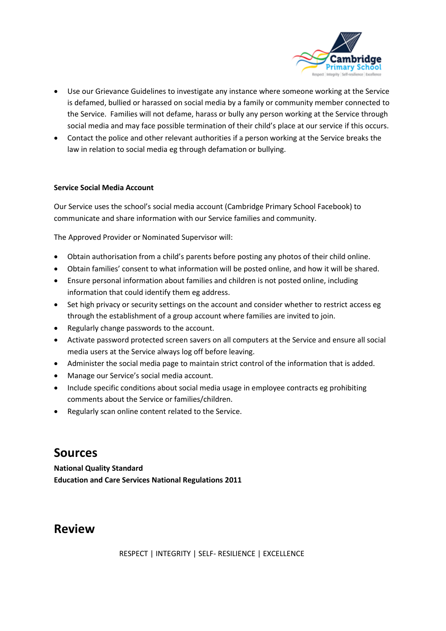

- Use our Grievance Guidelines to investigate any instance where someone working at the Service is defamed, bullied or harassed on social media by a family or community member connected to the Service. Families will not defame, harass or bully any person working at the Service through social media and may face possible termination of their child's place at our service if this occurs.
- Contact the police and other relevant authorities if a person working at the Service breaks the law in relation to social media eg through defamation or bullying.

#### **Service Social Media Account**

Our Service uses the school's social media account (Cambridge Primary School Facebook) to communicate and share information with our Service families and community.

The Approved Provider or Nominated Supervisor will:

- Obtain authorisation from a child's parents before posting any photos of their child online.
- Obtain families' consent to what information will be posted online, and how it will be shared.
- Ensure personal information about families and children is not posted online, including information that could identify them eg address.
- Set high privacy or security settings on the account and consider whether to restrict access eg through the establishment of a group account where families are invited to join.
- Regularly change passwords to the account.
- Activate password protected screen savers on all computers at the Service and ensure all social media users at the Service always log off before leaving.
- Administer the social media page to maintain strict control of the information that is added.
- Manage our Service's social media account.
- Include specific conditions about social media usage in employee contracts eg prohibiting comments about the Service or families/children.
- Regularly scan online content related to the Service.

#### **Sources**

**National Quality Standard Education and Care Services National Regulations 2011**

#### **Review**

RESPECT | INTEGRITY | SELF- RESILIENCE | EXCELLENCE